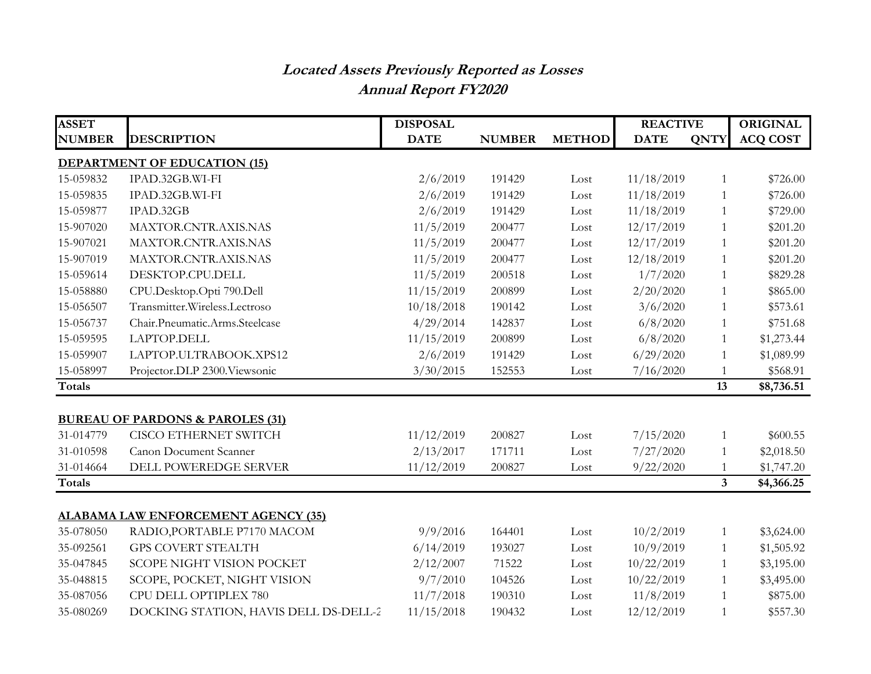## **Located Assets Previously Reported as Losses Annual Report FY2020**

| <b>ASSET</b>  |                                             | <b>DISPOSAL</b> |               |               | <b>REACTIVE</b> |                         | <b>ORIGINAL</b> |
|---------------|---------------------------------------------|-----------------|---------------|---------------|-----------------|-------------------------|-----------------|
| <b>NUMBER</b> | <b>DESCRIPTION</b>                          | <b>DATE</b>     | <b>NUMBER</b> | <b>METHOD</b> | <b>DATE</b>     | <b>QNTY</b>             | <b>ACQ COST</b> |
|               | <b>DEPARTMENT OF EDUCATION (15)</b>         |                 |               |               |                 |                         |                 |
| 15-059832     | IPAD.32GB.WI-FI                             | 2/6/2019        | 191429        | Lost          | 11/18/2019      | $\mathbf{1}$            | \$726.00        |
| 15-059835     | IPAD.32GB.WI-FI                             | 2/6/2019        | 191429        | Lost          | 11/18/2019      | $\mathbf{1}$            | \$726.00        |
| 15-059877     | IPAD.32GB                                   | 2/6/2019        | 191429        | Lost          | 11/18/2019      | $\mathbf{1}$            | \$729.00        |
| 15-907020     | MAXTOR.CNTR.AXIS.NAS                        | 11/5/2019       | 200477        | Lost          | 12/17/2019      | $\mathbf{1}$            | \$201.20        |
| 15-907021     | MAXTOR.CNTR.AXIS.NAS                        | 11/5/2019       | 200477        | Lost          | 12/17/2019      | $\mathbf{1}$            | \$201.20        |
| 15-907019     | MAXTOR.CNTR.AXIS.NAS                        | 11/5/2019       | 200477        | Lost          | 12/18/2019      | $\mathbf{1}$            | \$201.20        |
| 15-059614     | DESKTOP.CPU.DELL                            | 11/5/2019       | 200518        | Lost          | 1/7/2020        | $\mathbf{1}$            | \$829.28        |
| 15-058880     | CPU.Desktop.Opti 790.Dell                   | 11/15/2019      | 200899        | Lost          | 2/20/2020       | $\mathbf{1}$            | \$865.00        |
| 15-056507     | Transmitter.Wireless.Lectroso               | 10/18/2018      | 190142        | Lost          | 3/6/2020        | $\mathbf{1}$            | \$573.61        |
| 15-056737     | Chair.Pneumatic.Arms.Steelcase              | 4/29/2014       | 142837        | Lost          | 6/8/2020        | $\mathbf{1}$            | \$751.68        |
| 15-059595     | LAPTOP.DELL                                 | 11/15/2019      | 200899        | Lost          | 6/8/2020        | $\mathbf{1}$            | \$1,273.44      |
| 15-059907     | LAPTOP.ULTRABOOK.XPS12                      | 2/6/2019        | 191429        | Lost          | 6/29/2020       | $\mathbf{1}$            | \$1,089.99      |
| 15-058997     | Projector.DLP 2300.Viewsonic                | 3/30/2015       | 152553        | Lost          | 7/16/2020       | $\mathbf{1}$            | \$568.91        |
| Totals        |                                             |                 |               |               |                 | 13                      | \$8,736.51      |
|               |                                             |                 |               |               |                 |                         |                 |
|               | <b>BUREAU OF PARDONS &amp; PAROLES (31)</b> |                 |               |               |                 |                         |                 |
| 31-014779     | <b>CISCO ETHERNET SWITCH</b>                | 11/12/2019      | 200827        | Lost          | 7/15/2020       | $\mathbf{1}$            | \$600.55        |
| 31-010598     | Canon Document Scanner                      | 2/13/2017       | 171711        | Lost          | 7/27/2020       | 1                       | \$2,018.50      |
| 31-014664     | DELL POWEREDGE SERVER                       | 11/12/2019      | 200827        | Lost          | 9/22/2020       | $\mathbf{1}$            | \$1,747.20      |
| <b>Totals</b> |                                             |                 |               |               |                 | $\overline{\mathbf{3}}$ | \$4,366.25      |
|               |                                             |                 |               |               |                 |                         |                 |
|               | <b>ALABAMA LAW ENFORCEMENT AGENCY (35)</b>  |                 |               |               |                 |                         |                 |
| 35-078050     | RADIO, PORTABLE P7170 MACOM                 | 9/9/2016        | 164401        | Lost          | 10/2/2019       | $\mathbf{1}$            | \$3,624.00      |
| 35-092561     | <b>GPS COVERT STEALTH</b>                   | 6/14/2019       | 193027        | Lost          | 10/9/2019       | $\mathbf{1}$            | \$1,505.92      |
| 35-047845     | SCOPE NIGHT VISION POCKET                   | 2/12/2007       | 71522         | Lost          | 10/22/2019      | $\mathbf{1}$            | \$3,195.00      |
| 35-048815     | SCOPE, POCKET, NIGHT VISION                 | 9/7/2010        | 104526        | Lost          | 10/22/2019      | $\mathbf{1}$            | \$3,495.00      |
| 35-087056     | CPU DELL OPTIPLEX 780                       | 11/7/2018       | 190310        | Lost          | 11/8/2019       | $\mathbf{1}$            | \$875.00        |
| 35-080269     | DOCKING STATION, HAVIS DELL DS-DELL-2       | 11/15/2018      | 190432        | Lost          | 12/12/2019      | $\mathbf{1}$            | \$557.30        |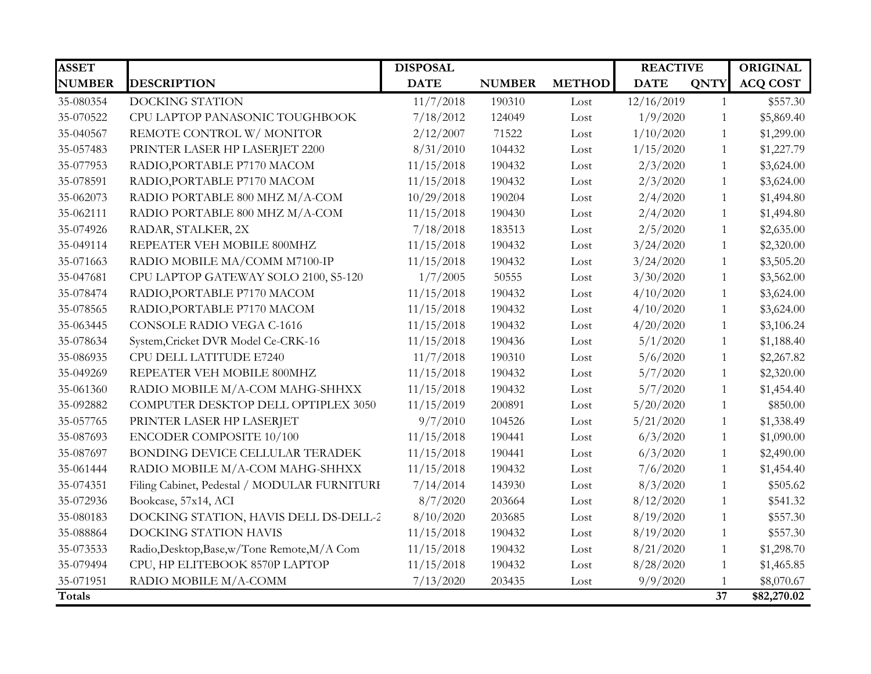| <b>ASSET</b>  |                                              | <b>DISPOSAL</b> |               |               | <b>REACTIVE</b> |                 | <b>ORIGINAL</b> |
|---------------|----------------------------------------------|-----------------|---------------|---------------|-----------------|-----------------|-----------------|
| <b>NUMBER</b> | <b>DESCRIPTION</b>                           | <b>DATE</b>     | <b>NUMBER</b> | <b>METHOD</b> | <b>DATE</b>     | <b>QNTY</b>     | <b>ACQ COST</b> |
| 35-080354     | DOCKING STATION                              | 11/7/2018       | 190310        | Lost          | 12/16/2019      | $\mathbf{1}$    | \$557.30        |
| 35-070522     | CPU LAPTOP PANASONIC TOUGHBOOK               | 7/18/2012       | 124049        | Lost          | 1/9/2020        | $\mathbf{1}$    | \$5,869.40      |
| 35-040567     | REMOTE CONTROL W/ MONITOR                    | 2/12/2007       | 71522         | Lost          | 1/10/2020       | 1               | \$1,299.00      |
| 35-057483     | PRINTER LASER HP LASERJET 2200               | 8/31/2010       | 104432        | Lost          | 1/15/2020       | $\mathbf{1}$    | \$1,227.79      |
| 35-077953     | RADIO, PORTABLE P7170 MACOM                  | 11/15/2018      | 190432        | Lost          | 2/3/2020        | 1               | \$3,624.00      |
| 35-078591     | RADIO, PORTABLE P7170 MACOM                  | 11/15/2018      | 190432        | Lost          | 2/3/2020        | 1               | \$3,624.00      |
| 35-062073     | RADIO PORTABLE 800 MHZ M/A-COM               | 10/29/2018      | 190204        | Lost          | 2/4/2020        | $\mathbf{1}$    | \$1,494.80      |
| 35-062111     | RADIO PORTABLE 800 MHZ M/A-COM               | 11/15/2018      | 190430        | Lost          | 2/4/2020        | 1               | \$1,494.80      |
| 35-074926     | RADAR, STALKER, 2X                           | 7/18/2018       | 183513        | Lost          | 2/5/2020        | $\mathbf{1}$    | \$2,635.00      |
| 35-049114     | REPEATER VEH MOBILE 800MHZ                   | 11/15/2018      | 190432        | Lost          | 3/24/2020       | $\mathbf{1}$    | \$2,320.00      |
| 35-071663     | RADIO MOBILE MA/COMM M7100-IP                | 11/15/2018      | 190432        | Lost          | 3/24/2020       | 1               | \$3,505.20      |
| 35-047681     | CPU LAPTOP GATEWAY SOLO 2100, S5-120         | 1/7/2005        | 50555         | Lost          | 3/30/2020       | $\mathbf{1}$    | \$3,562.00      |
| 35-078474     | RADIO, PORTABLE P7170 MACOM                  | 11/15/2018      | 190432        | Lost          | 4/10/2020       | $\mathbf{1}$    | \$3,624.00      |
| 35-078565     | RADIO, PORTABLE P7170 MACOM                  | 11/15/2018      | 190432        | Lost          | 4/10/2020       | $\mathbf{1}$    | \$3,624.00      |
| 35-063445     | CONSOLE RADIO VEGA C-1616                    | 11/15/2018      | 190432        | Lost          | 4/20/2020       | $\mathbf{1}$    | \$3,106.24      |
| 35-078634     | System, Cricket DVR Model Ce-CRK-16          | 11/15/2018      | 190436        | Lost          | 5/1/2020        | 1               | \$1,188.40      |
| 35-086935     | CPU DELL LATITUDE E7240                      | 11/7/2018       | 190310        | Lost          | 5/6/2020        | 1               | \$2,267.82      |
| 35-049269     | REPEATER VEH MOBILE 800MHZ                   | 11/15/2018      | 190432        | Lost          | 5/7/2020        | $\mathbf{1}$    | \$2,320.00      |
| 35-061360     | RADIO MOBILE M/A-COM MAHG-SHHXX              | 11/15/2018      | 190432        | Lost          | 5/7/2020        | $\mathbf{1}$    | \$1,454.40      |
| 35-092882     | COMPUTER DESKTOP DELL OPTIPLEX 3050          | 11/15/2019      | 200891        | Lost          | 5/20/2020       | $\mathbf{1}$    | \$850.00        |
| 35-057765     | PRINTER LASER HP LASERJET                    | 9/7/2010        | 104526        | Lost          | 5/21/2020       | $\mathbf{1}$    | \$1,338.49      |
| 35-087693     | ENCODER COMPOSITE 10/100                     | 11/15/2018      | 190441        | Lost          | 6/3/2020        | $\mathbf{1}$    | \$1,090.00      |
| 35-087697     | BONDING DEVICE CELLULAR TERADEK              | 11/15/2018      | 190441        | Lost          | 6/3/2020        | $\mathbf{1}$    | \$2,490.00      |
| 35-061444     | RADIO MOBILE M/A-COM MAHG-SHHXX              | 11/15/2018      | 190432        | Lost          | 7/6/2020        | $\mathbf{1}$    | \$1,454.40      |
| 35-074351     | Filing Cabinet, Pedestal / MODULAR FURNITURE | 7/14/2014       | 143930        | Lost          | 8/3/2020        | $\mathbf{1}$    | \$505.62        |
| 35-072936     | Bookcase, 57x14, ACI                         | 8/7/2020        | 203664        | Lost          | 8/12/2020       | $\mathbf{1}$    | \$541.32        |
| 35-080183     | DOCKING STATION, HAVIS DELL DS-DELL-2        | 8/10/2020       | 203685        | Lost          | 8/19/2020       | $\mathbf{1}$    | \$557.30        |
| 35-088864     | DOCKING STATION HAVIS                        | 11/15/2018      | 190432        | Lost          | 8/19/2020       | $\mathbf{1}$    | \$557.30        |
| 35-073533     | Radio, Desktop, Base, w/Tone Remote, M/A Com | 11/15/2018      | 190432        | Lost          | 8/21/2020       | $\mathbf{1}$    | \$1,298.70      |
| 35-079494     | CPU, HP ELITEBOOK 8570P LAPTOP               | 11/15/2018      | 190432        | Lost          | 8/28/2020       | $\mathbf{1}$    | \$1,465.85      |
| 35-071951     | RADIO MOBILE M/A-COMM                        | 7/13/2020       | 203435        | Lost          | 9/9/2020        | 1               | \$8,070.67      |
| <b>Totals</b> |                                              |                 |               |               |                 | $\overline{37}$ | \$82,270.02     |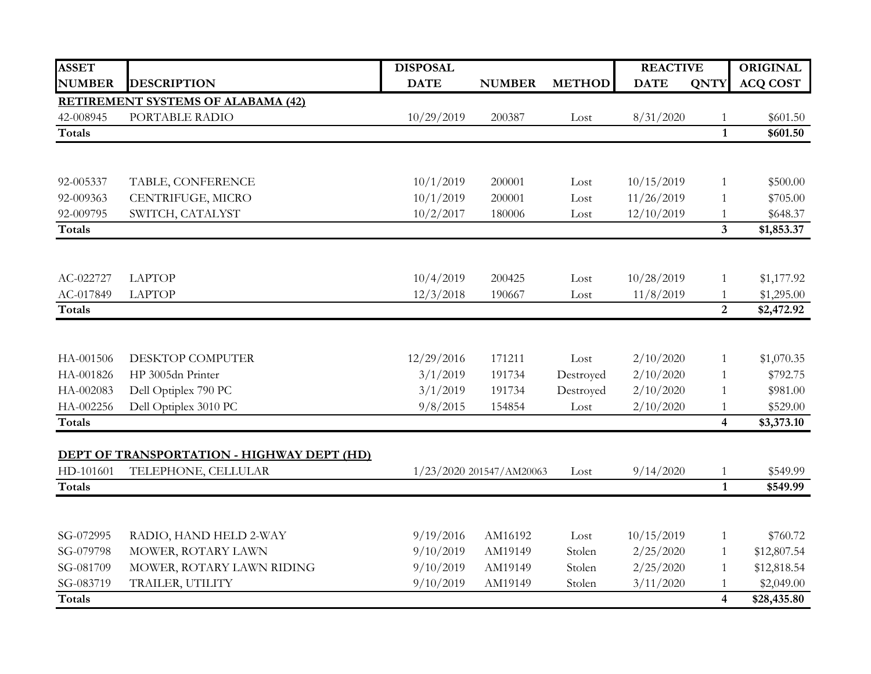| <b>ASSET</b>  |                                            | <b>DISPOSAL</b> |                          |               | <b>REACTIVE</b> |                         | <b>ORIGINAL</b> |
|---------------|--------------------------------------------|-----------------|--------------------------|---------------|-----------------|-------------------------|-----------------|
| <b>NUMBER</b> | <b>DESCRIPTION</b>                         | <b>DATE</b>     | <b>NUMBER</b>            | <b>METHOD</b> | <b>DATE</b>     | <b>QNTY</b>             | <b>ACQ COST</b> |
|               | RETIREMENT SYSTEMS OF ALABAMA (42)         |                 |                          |               |                 |                         |                 |
| 42-008945     | PORTABLE RADIO                             | 10/29/2019      | 200387                   | Lost          | 8/31/2020       | $\mathbf{1}$            | \$601.50        |
| <b>Totals</b> |                                            |                 |                          |               |                 | $\mathbf{1}$            | \$601.50        |
|               |                                            |                 |                          |               |                 |                         |                 |
| 92-005337     | TABLE, CONFERENCE                          | 10/1/2019       | 200001                   | Lost          | 10/15/2019      | $\mathbf{1}$            | \$500.00        |
| 92-009363     | CENTRIFUGE, MICRO                          | 10/1/2019       | 200001                   | Lost          | 11/26/2019      | 1                       | \$705.00        |
| 92-009795     | SWITCH, CATALYST                           | 10/2/2017       | 180006                   | Lost          | 12/10/2019      | $\mathbf{1}$            | \$648.37        |
| <b>Totals</b> |                                            |                 |                          |               |                 | $\overline{\mathbf{3}}$ | \$1,853.37      |
|               |                                            |                 |                          |               |                 |                         |                 |
| AC-022727     | <b>LAPTOP</b>                              | 10/4/2019       | 200425                   | Lost          | 10/28/2019      | $\mathbf{1}$            | \$1,177.92      |
| AC-017849     | <b>LAPTOP</b>                              | 12/3/2018       | 190667                   | Lost          | 11/8/2019       | $\mathbf{1}$            | \$1,295.00      |
| <b>Totals</b> |                                            |                 |                          |               |                 | $\overline{2}$          | \$2,472.92      |
|               |                                            |                 |                          |               |                 |                         |                 |
| HA-001506     | <b>DESKTOP COMPUTER</b>                    | 12/29/2016      | 171211                   | Lost          | 2/10/2020       | $\mathbf{1}$            | \$1,070.35      |
| HA-001826     | HP 3005dn Printer                          | 3/1/2019        | 191734                   | Destroyed     | 2/10/2020       | $\mathbf{1}$            | \$792.75        |
| HA-002083     | Dell Optiplex 790 PC                       | 3/1/2019        | 191734                   | Destroyed     | 2/10/2020       | $\mathbf{1}$            | \$981.00        |
| HA-002256     | Dell Optiplex 3010 PC                      | 9/8/2015        | 154854                   | Lost          | 2/10/2020       | $\mathbf{1}$            | \$529.00        |
| <b>Totals</b> |                                            |                 |                          |               |                 | $\overline{4}$          | \$3,373.10      |
|               | DEPT OF TRANSPORTATION - HIGHWAY DEPT (HD) |                 |                          |               |                 |                         |                 |
| HD-101601     | TELEPHONE, CELLULAR                        |                 | 1/23/2020 201547/AM20063 | Lost          | 9/14/2020       | $\mathbf{1}$            | \$549.99        |
| Totals        |                                            |                 |                          |               |                 | $\mathbf{1}$            | \$549.99        |
|               |                                            |                 |                          |               |                 |                         |                 |
| SG-072995     | RADIO, HAND HELD 2-WAY                     | 9/19/2016       | AM16192                  | Lost          | 10/15/2019      | $\mathbf{1}$            | \$760.72        |
| SG-079798     | MOWER, ROTARY LAWN                         | 9/10/2019       | AM19149                  | Stolen        | 2/25/2020       | $\mathbf{1}$            | \$12,807.54     |
| SG-081709     | MOWER, ROTARY LAWN RIDING                  | 9/10/2019       | AM19149                  | Stolen        | 2/25/2020       | $\mathbf{1}$            | \$12,818.54     |
| SG-083719     | TRAILER, UTILITY                           | 9/10/2019       | AM19149                  | Stolen        | 3/11/2020       | $\mathbf{1}$            | \$2,049.00      |
| <b>Totals</b> |                                            |                 |                          |               |                 | $\overline{\mathbf{4}}$ | \$28,435.80     |